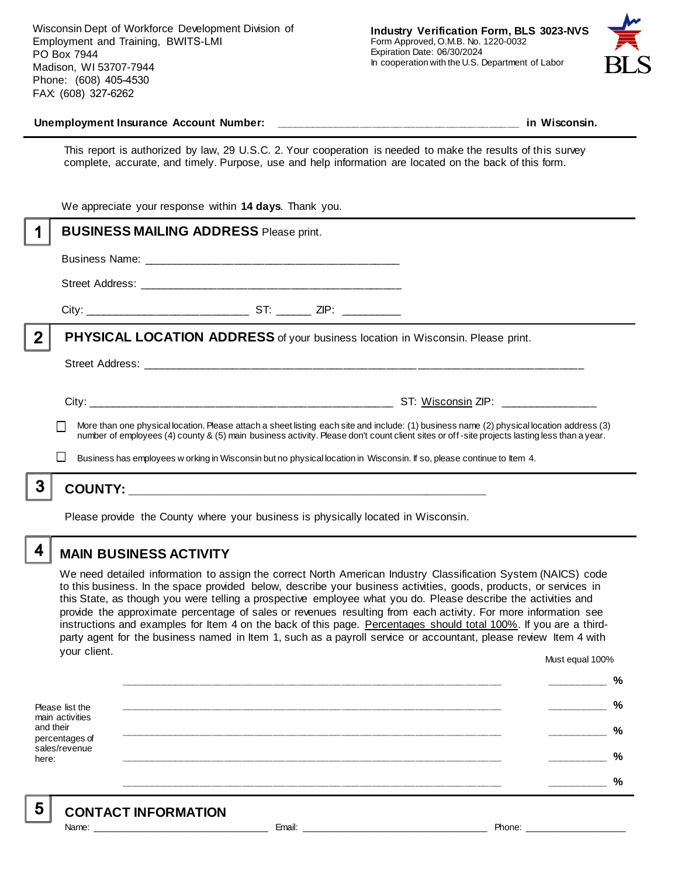Wisconsin Dept of Workforce Development Division of Employment and Training, BWITS-LMI PO Box 7944 Madison, WI 53707-7944 Phone: (608) 405-4530 FAX: (608) 327-6262



#### **Unemployment Insurance Account Number: \_\_\_\_\_\_\_\_\_\_\_\_\_\_\_\_\_\_\_\_\_\_\_\_\_\_\_\_\_\_\_\_\_\_\_\_\_\_\_\_ in Wisconsin.**

This report is authorized by law, 29 U.S.C. 2. Your cooperation is needed to make the results of this survey complete, accurate, and timely. Purpose, use and help information are located on the back of this form.

|   | We appreciate your response within 14 days. Thank you.                                                                |                                                                                                                                                                                                                                                                                          |  |  |
|---|-----------------------------------------------------------------------------------------------------------------------|------------------------------------------------------------------------------------------------------------------------------------------------------------------------------------------------------------------------------------------------------------------------------------------|--|--|
|   | <b>BUSINESS MAILING ADDRESS Please print.</b>                                                                         |                                                                                                                                                                                                                                                                                          |  |  |
|   |                                                                                                                       |                                                                                                                                                                                                                                                                                          |  |  |
|   |                                                                                                                       |                                                                                                                                                                                                                                                                                          |  |  |
|   |                                                                                                                       |                                                                                                                                                                                                                                                                                          |  |  |
| 2 | <b>PHYSICAL LOCATION ADDRESS</b> of your business location in Wisconsin. Please print.                                |                                                                                                                                                                                                                                                                                          |  |  |
|   |                                                                                                                       |                                                                                                                                                                                                                                                                                          |  |  |
|   |                                                                                                                       | More than one physical location. Please attach a sheet listing each site and include: (1) business name (2) physical location address (3)<br>number of employees (4) county & (5) main business activity. Please don't count client sites or off-site projects lasting less than a year. |  |  |
|   | Business has employees w orking in Wisconsin but no physical location in Wisconsin. If so, please continue to Item 4. |                                                                                                                                                                                                                                                                                          |  |  |
|   |                                                                                                                       |                                                                                                                                                                                                                                                                                          |  |  |
|   |                                                                                                                       |                                                                                                                                                                                                                                                                                          |  |  |

Please provide the County where your business is physically located in Wisconsin.

4

5

## **MAIN BUSINESS ACTIVITY**

We need detailed information to assign the correct North American Industry Classification System (NAICS) code to this business. In the space provided below, describe your business activities, goods, products, or services in this State, as though you were telling a prospective employee what you do. Please describe the activities and provide the approximate percentage of sales or revenues resulting from each activity. For more information see instructions and examples for Item 4 on the back of this page. Percentages should total 100%. If you are a thirdparty agent for the business named in Item 1, such as a payroll service or accountant, please review Item 4 with your client. Must equal 100%

Please list the main activities and their percentages of sales/revenue here: **\_\_\_\_\_\_\_\_\_\_\_\_\_\_\_\_\_\_\_\_\_\_\_\_\_\_\_\_\_\_\_\_\_\_\_\_\_\_\_\_\_\_\_\_\_\_\_\_\_\_\_\_\_\_\_\_\_\_\_\_\_\_ \_\_\_\_\_\_\_\_\_\_ % \_\_\_\_\_\_\_\_\_\_\_\_\_\_\_\_\_\_\_\_\_\_\_\_\_\_\_\_\_\_\_\_\_\_\_\_\_\_\_\_\_\_\_\_\_\_\_\_\_\_\_\_\_\_\_\_\_\_\_\_\_\_ \_\_\_\_\_\_\_\_\_\_ % \_\_\_\_\_\_\_\_\_\_\_\_\_\_\_\_\_\_\_\_\_\_\_\_\_\_\_\_\_\_\_\_\_\_\_\_\_\_\_\_\_\_\_\_\_\_\_\_\_\_\_\_\_\_\_\_\_\_\_\_\_\_ \_\_\_\_\_\_\_\_\_\_ % \_\_\_\_\_\_\_\_\_\_\_\_\_\_\_\_\_\_\_\_\_\_\_\_\_\_\_\_\_\_\_\_\_\_\_\_\_\_\_\_\_\_\_\_\_\_\_\_\_\_\_\_\_\_\_\_\_\_\_\_\_\_ \_\_\_\_\_\_\_\_\_\_ % \_\_\_\_\_\_\_\_\_\_\_\_\_\_\_\_\_\_\_\_\_\_\_\_\_\_\_\_\_\_\_\_\_\_\_\_\_\_\_\_\_\_\_\_\_\_\_\_\_\_\_\_\_\_\_\_\_\_\_\_\_\_ \_\_\_\_\_\_\_\_\_\_ %**